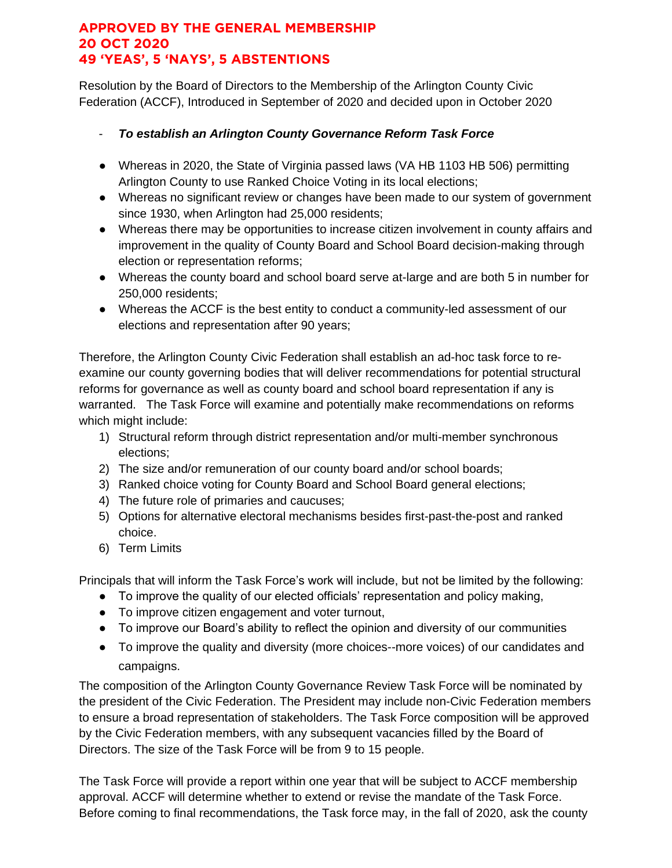## **APPROVED BY THE GENERAL MEMBERSHIP 20 OCT 2020 49 'YEAS', 5 'NAYS', 5 ABSTENTIONS**

Resolution by the Board of Directors to the Membership of the Arlington County Civic Federation (ACCF), Introduced in September of 2020 and decided upon in October 2020

- *To establish an Arlington County Governance Reform Task Force*
- Whereas in 2020, the State of Virginia passed laws (VA HB 1103 HB 506) permitting Arlington County to use Ranked Choice Voting in its local elections;
- Whereas no significant review or changes have been made to our system of government since 1930, when Arlington had 25,000 residents;
- Whereas there may be opportunities to increase citizen involvement in county affairs and improvement in the quality of County Board and School Board decision-making through election or representation reforms;
- Whereas the county board and school board serve at-large and are both 5 in number for 250,000 residents;
- Whereas the ACCF is the best entity to conduct a community-led assessment of our elections and representation after 90 years;

Therefore, the Arlington County Civic Federation shall establish an ad-hoc task force to reexamine our county governing bodies that will deliver recommendations for potential structural reforms for governance as well as county board and school board representation if any is warranted. The Task Force will examine and potentially make recommendations on reforms which might include:

- 1) Structural reform through district representation and/or multi-member synchronous elections;
- 2) The size and/or remuneration of our county board and/or school boards;
- 3) Ranked choice voting for County Board and School Board general elections;
- 4) The future role of primaries and caucuses;
- 5) Options for alternative electoral mechanisms besides first-past-the-post and ranked choice.
- 6) Term Limits

Principals that will inform the Task Force's work will include, but not be limited by the following:

- To improve the quality of our elected officials' representation and policy making,
- To improve citizen engagement and voter turnout,
- To improve our Board's ability to reflect the opinion and diversity of our communities
- To improve the quality and diversity (more choices--more voices) of our candidates and campaigns.

The composition of the Arlington County Governance Review Task Force will be nominated by the president of the Civic Federation. The President may include non-Civic Federation members to ensure a broad representation of stakeholders. The Task Force composition will be approved by the Civic Federation members, with any subsequent vacancies filled by the Board of Directors. The size of the Task Force will be from 9 to 15 people.

The Task Force will provide a report within one year that will be subject to ACCF membership approval. ACCF will determine whether to extend or revise the mandate of the Task Force. Before coming to final recommendations, the Task force may, in the fall of 2020, ask the county